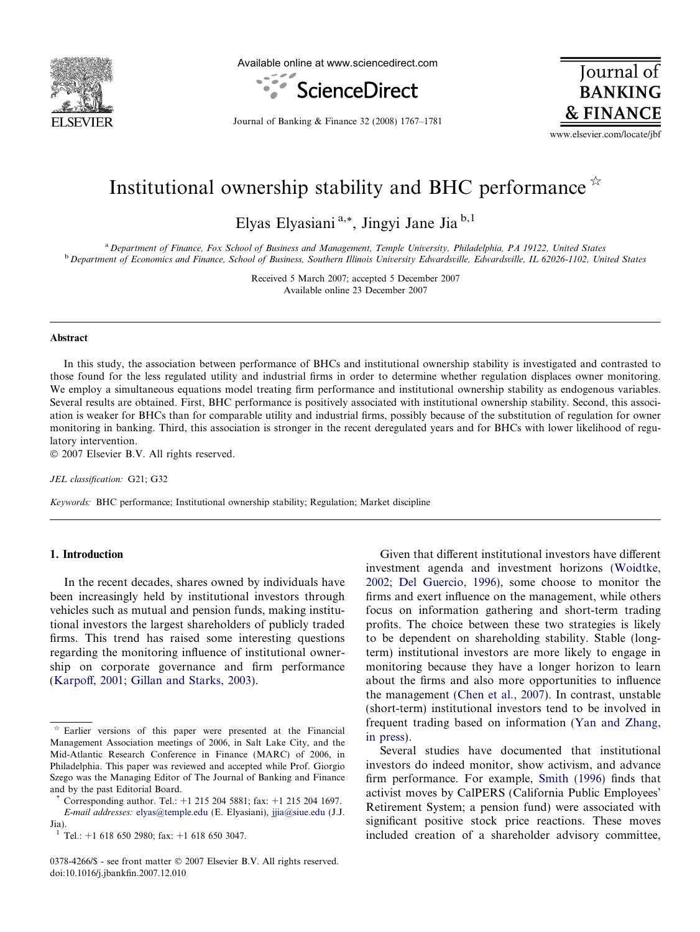

Available online at www.sciencedirect.com



Journal of **BANKING & FINANCE** 

Journal of Banking & Finance 32 (2008) 1767–1781

www.elsevier.com/locate/jbf

## Institutional ownership stability and BHC performance  $\hat{z}$

Elyas Elyasiani<sup>a,\*</sup>, Jingyi Jane Jia<sup>b,1</sup>

a Department of Finance, Fox School of Business and Management, Temple University, Philadelphia, PA 19122, United States <sup>b</sup> Department of Economics and Finance, School of Business, Southern Illinois University Edwardsville, Edwardsville, IL 62026-1102, United States

> Received 5 March 2007; accepted 5 December 2007 Available online 23 December 2007

## Abstract

In this study, the association between performance of BHCs and institutional ownership stability is investigated and contrasted to those found for the less regulated utility and industrial firms in order to determine whether regulation displaces owner monitoring. We employ a simultaneous equations model treating firm performance and institutional ownership stability as endogenous variables. Several results are obtained. First, BHC performance is positively associated with institutional ownership stability. Second, this association is weaker for BHCs than for comparable utility and industrial firms, possibly because of the substitution of regulation for owner monitoring in banking. Third, this association is stronger in the recent deregulated years and for BHCs with lower likelihood of regulatory intervention.

 $© 2007 Elsevier B.V. All rights reserved.$ 

JEL classification: G21; G32

Keywords: BHC performance; Institutional ownership stability; Regulation; Market discipline

## 1. Introduction

In the recent decades, shares owned by individuals have been increasingly held by institutional investors through vehicles such as mutual and pension funds, making institutional investors the largest shareholders of publicly traded firms. This trend has raised some interesting questions regarding the monitoring influence of institutional ownership on corporate governance and firm performance ([Karpoff, 2001; Gillan and Starks, 2003\)](#page--1-0).

Given that different institutional investors have different investment agenda and investment horizons [\(Woidtke,](#page--1-0) [2002; Del Guercio, 1996](#page--1-0)), some choose to monitor the firms and exert influence on the management, while others focus on information gathering and short-term trading profits. The choice between these two strategies is likely to be dependent on shareholding stability. Stable (longterm) institutional investors are more likely to engage in monitoring because they have a longer horizon to learn about the firms and also more opportunities to influence the management ([Chen et al., 2007](#page--1-0)). In contrast, unstable (short-term) institutional investors tend to be involved in frequent trading based on information [\(Yan and Zhang,](#page--1-0) [in press](#page--1-0)).

Several studies have documented that institutional investors do indeed monitor, show activism, and advance firm performance. For example, [Smith \(1996\)](#page--1-0) finds that activist moves by CalPERS (California Public Employees' Retirement System; a pension fund) were associated with significant positive stock price reactions. These moves included creation of a shareholder advisory committee,

 $\hat{z}$  Earlier versions of this paper were presented at the Financial Management Association meetings of 2006, in Salt Lake City, and the Mid-Atlantic Research Conference in Finance (MARC) of 2006, in Philadelphia. This paper was reviewed and accepted while Prof. Giorgio Szego was the Managing Editor of The Journal of Banking and Finance and by the past Editorial Board.

Corresponding author. Tel.: +1 215 204 5881; fax: +1 215 204 1697. E-mail addresses: [elyas@temple.edu](mailto:elyas@temple.edu) (E. Elyasiani), [jjia@siue.edu](mailto:jjia@siue.edu) (J.J.

Jia).

 $1$  Tel.: +1 618 650 2980; fax: +1 618 650 3047.

<sup>0378-4266/\$ -</sup> see front matter © 2007 Elsevier B.V. All rights reserved. doi:10.1016/j.jbankfin.2007.12.010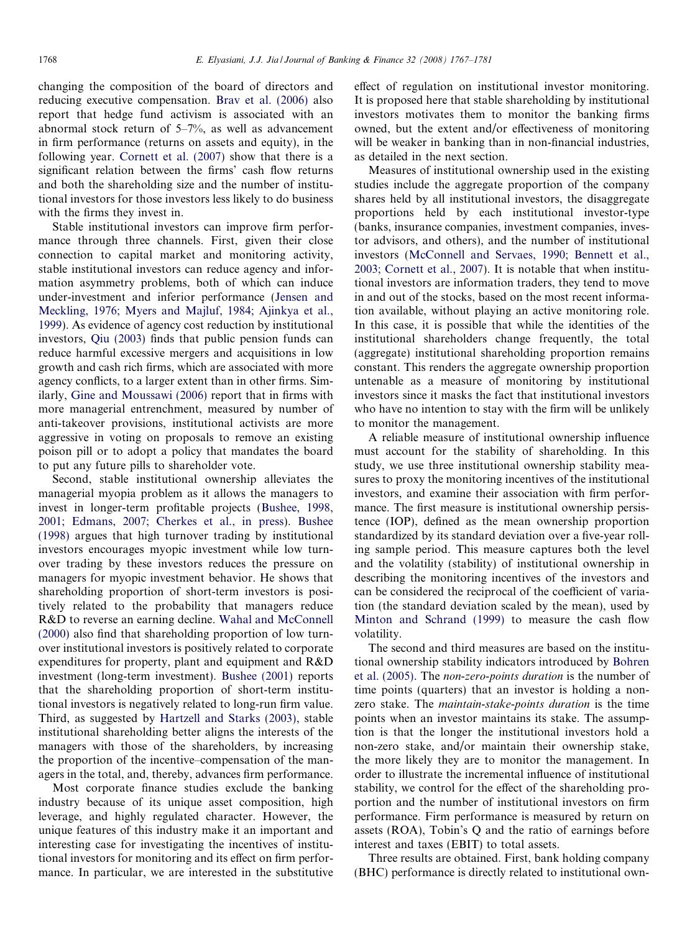changing the composition of the board of directors and reducing executive compensation. [Brav et al. \(2006\)](#page--1-0) also report that hedge fund activism is associated with an abnormal stock return of 5–7%, as well as advancement in firm performance (returns on assets and equity), in the following year. [Cornett et al. \(2007\)](#page--1-0) show that there is a significant relation between the firms' cash flow returns and both the shareholding size and the number of institutional investors for those investors less likely to do business with the firms they invest in.

Stable institutional investors can improve firm performance through three channels. First, given their close connection to capital market and monitoring activity, stable institutional investors can reduce agency and information asymmetry problems, both of which can induce under-investment and inferior performance [\(Jensen and](#page--1-0) [Meckling, 1976; Myers and Majluf, 1984; Ajinkya et al.,](#page--1-0) [1999\)](#page--1-0). As evidence of agency cost reduction by institutional investors, [Qiu \(2003\)](#page--1-0) finds that public pension funds can reduce harmful excessive mergers and acquisitions in low growth and cash rich firms, which are associated with more agency conflicts, to a larger extent than in other firms. Similarly, [Gine and Moussawi \(2006\)](#page--1-0) report that in firms with more managerial entrenchment, measured by number of anti-takeover provisions, institutional activists are more aggressive in voting on proposals to remove an existing poison pill or to adopt a policy that mandates the board to put any future pills to shareholder vote.

Second, stable institutional ownership alleviates the managerial myopia problem as it allows the managers to invest in longer-term profitable projects [\(Bushee, 1998,](#page--1-0) [2001; Edmans, 2007; Cherkes et al., in press\)](#page--1-0). [Bushee](#page--1-0) [\(1998\)](#page--1-0) argues that high turnover trading by institutional investors encourages myopic investment while low turnover trading by these investors reduces the pressure on managers for myopic investment behavior. He shows that shareholding proportion of short-term investors is positively related to the probability that managers reduce R&D to reverse an earning decline. [Wahal and McConnell](#page--1-0) [\(2000\)](#page--1-0) also find that shareholding proportion of low turnover institutional investors is positively related to corporate expenditures for property, plant and equipment and R&D investment (long-term investment). [Bushee \(2001\)](#page--1-0) reports that the shareholding proportion of short-term institutional investors is negatively related to long-run firm value. Third, as suggested by [Hartzell and Starks \(2003\)](#page--1-0), stable institutional shareholding better aligns the interests of the managers with those of the shareholders, by increasing the proportion of the incentive–compensation of the managers in the total, and, thereby, advances firm performance.

Most corporate finance studies exclude the banking industry because of its unique asset composition, high leverage, and highly regulated character. However, the unique features of this industry make it an important and interesting case for investigating the incentives of institutional investors for monitoring and its effect on firm performance. In particular, we are interested in the substitutive

effect of regulation on institutional investor monitoring. It is proposed here that stable shareholding by institutional investors motivates them to monitor the banking firms owned, but the extent and/or effectiveness of monitoring will be weaker in banking than in non-financial industries. as detailed in the next section.

Measures of institutional ownership used in the existing studies include the aggregate proportion of the company shares held by all institutional investors, the disaggregate proportions held by each institutional investor-type (banks, insurance companies, investment companies, investor advisors, and others), and the number of institutional investors ([McConnell and Servaes, 1990; Bennett et al.,](#page--1-0) [2003; Cornett et al., 2007](#page--1-0)). It is notable that when institutional investors are information traders, they tend to move in and out of the stocks, based on the most recent information available, without playing an active monitoring role. In this case, it is possible that while the identities of the institutional shareholders change frequently, the total (aggregate) institutional shareholding proportion remains constant. This renders the aggregate ownership proportion untenable as a measure of monitoring by institutional investors since it masks the fact that institutional investors who have no intention to stay with the firm will be unlikely to monitor the management.

A reliable measure of institutional ownership influence must account for the stability of shareholding. In this study, we use three institutional ownership stability measures to proxy the monitoring incentives of the institutional investors, and examine their association with firm performance. The first measure is institutional ownership persistence (IOP), defined as the mean ownership proportion standardized by its standard deviation over a five-year rolling sample period. This measure captures both the level and the volatility (stability) of institutional ownership in describing the monitoring incentives of the investors and can be considered the reciprocal of the coefficient of variation (the standard deviation scaled by the mean), used by [Minton and Schrand \(1999\)](#page--1-0) to measure the cash flow volatility.

The second and third measures are based on the institutional ownership stability indicators introduced by [Bohren](#page--1-0) [et al. \(2005\)](#page--1-0). The non-zero-points duration is the number of time points (quarters) that an investor is holding a nonzero stake. The maintain-stake-points duration is the time points when an investor maintains its stake. The assumption is that the longer the institutional investors hold a non-zero stake, and/or maintain their ownership stake, the more likely they are to monitor the management. In order to illustrate the incremental influence of institutional stability, we control for the effect of the shareholding proportion and the number of institutional investors on firm performance. Firm performance is measured by return on assets (ROA), Tobin's Q and the ratio of earnings before interest and taxes (EBIT) to total assets.

Three results are obtained. First, bank holding company (BHC) performance is directly related to institutional own-